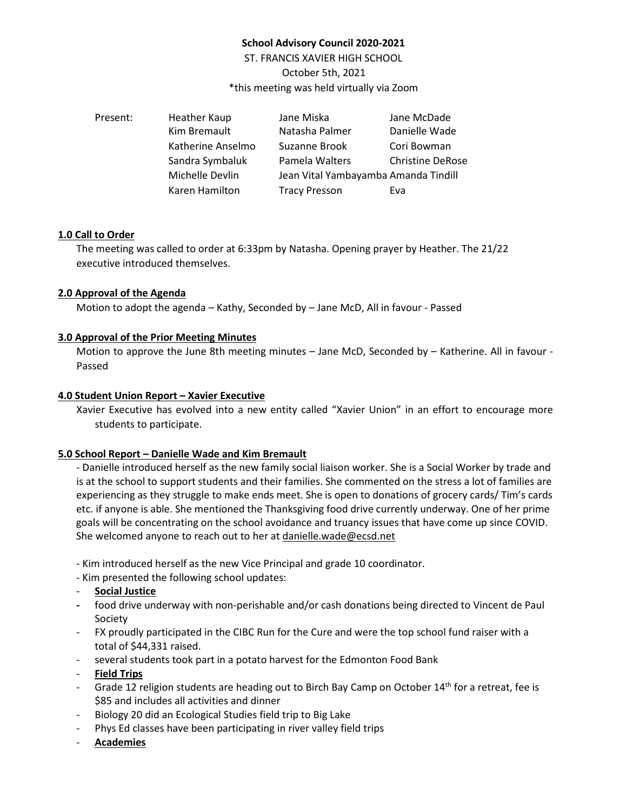# **School Advisory Council 2020-2021**

ST. FRANCIS XAVIER HIGH SCHOOL October 5th, 2021 \*this meeting was held virtually via Zoom

| Present: | Heather Kaup      | Jane Miska                           | Jane McDade             |
|----------|-------------------|--------------------------------------|-------------------------|
|          | Kim Bremault      | Natasha Palmer                       | Danielle Wade           |
|          | Katherine Anselmo | Suzanne Brook                        | Cori Bowman             |
|          | Sandra Symbaluk   | Pamela Walters                       | <b>Christine DeRose</b> |
|          | Michelle Devlin   | Jean Vital Yambayamba Amanda Tindill |                         |
|          | Karen Hamilton    | <b>Tracy Presson</b>                 | Eva                     |

## **1.0 Call to Order**

The meeting was called to order at 6:33pm by Natasha. Opening prayer by Heather. The 21/22 executive introduced themselves.

## **2.0 Approval of the Agenda**

Motion to adopt the agenda – Kathy, Seconded by – Jane McD, All in favour - Passed

## **3.0 Approval of the Prior Meeting Minutes**

Motion to approve the June 8th meeting minutes – Jane McD, Seconded by – Katherine. All in favour -Passed

## **4.0 Student Union Report – Xavier Executive**

Xavier Executive has evolved into a new entity called "Xavier Union" in an effort to encourage more students to participate.

## **5.0 School Report – Danielle Wade and Kim Bremault**

- Danielle introduced herself as the new family social liaison worker. She is a Social Worker by trade and is at the school to support students and their families. She commented on the stress a lot of families are experiencing as they struggle to make ends meet. She is open to donations of grocery cards/ Tim's cards etc. if anyone is able. She mentioned the Thanksgiving food drive currently underway. One of her prime goals will be concentrating on the school avoidance and truancy issues that have come up since COVID. She welcomed anyone to reach out to her at [danielle.wade@ecsd.net](mailto:danielle.wade@ecsd.net)

- Kim introduced herself as the new Vice Principal and grade 10 coordinator.

- Kim presented the following school updates:

- **Social Justice**
- **-** food drive underway with non-perishable and/or cash donations being directed to Vincent de Paul Society
- FX proudly participated in the CIBC Run for the Cure and were the top school fund raiser with a total of \$44,331 raised.
- several students took part in a potato harvest for the Edmonton Food Bank
- **Field Trips**
- Grade 12 religion students are heading out to Birch Bay Camp on October 14<sup>th</sup> for a retreat, fee is \$85 and includes all activities and dinner
- Biology 20 did an Ecological Studies field trip to Big Lake
- Phys Ed classes have been participating in river valley field trips
- **Academies**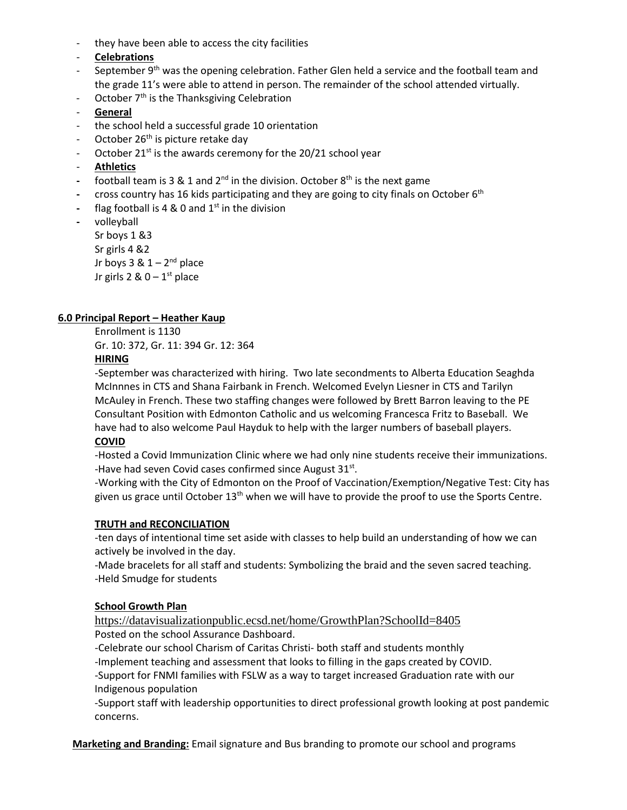- they have been able to access the city facilities
- **Celebrations**
- September  $9<sup>th</sup>$  was the opening celebration. Father Glen held a service and the football team and the grade 11's were able to attend in person. The remainder of the school attended virtually.
- October  $7<sup>th</sup>$  is the Thanksgiving Celebration
- **General**
- the school held a successful grade 10 orientation
- October 26<sup>th</sup> is picture retake day
- October 21 $st$  is the awards ceremony for the 20/21 school year
- **Athletics**
- **-** football team is 3 & 1 and 2nd in the division. October 8th is the next game
- **-** cross country has 16 kids participating and they are going to city finals on October 6th
- **-** flag football is 4 & 0 and 1st in the division
- **-** volleyball

Sr boys 1 &3 Sr girls 4 &2 Jr boys  $3 & 1 - 2<sup>nd</sup>$  place Jr girls  $2 \& 0 - 1$ <sup>st</sup> place

## **6.0 Principal Report – Heather Kaup**

Enrollment is 1130 Gr. 10: 372, Gr. 11: 394 Gr. 12: 364

## **HIRING**

-September was characterized with hiring. Two late secondments to Alberta Education Seaghda McInnnes in CTS and Shana Fairbank in French. Welcomed Evelyn Liesner in CTS and Tarilyn McAuley in French. These two staffing changes were followed by Brett Barron leaving to the PE Consultant Position with Edmonton Catholic and us welcoming Francesca Fritz to Baseball. We have had to also welcome Paul Hayduk to help with the larger numbers of baseball players. **COVID**

-Hosted a Covid Immunization Clinic where we had only nine students receive their immunizations. -Have had seven Covid cases confirmed since August 31<sup>st</sup>.

-Working with the City of Edmonton on the Proof of Vaccination/Exemption/Negative Test: City has given us grace until October  $13<sup>th</sup>$  when we will have to provide the proof to use the Sports Centre.

## **TRUTH and RECONCILIATION**

-ten days of intentional time set aside with classes to help build an understanding of how we can actively be involved in the day.

-Made bracelets for all staff and students: Symbolizing the braid and the seven sacred teaching. -Held Smudge for students

## **School Growth Plan**

<https://datavisualizationpublic.ecsd.net/home/GrowthPlan?SchoolId=8405> Posted on the school Assurance Dashboard.

-Celebrate our school Charism of Caritas Christi- both staff and students monthly

-Implement teaching and assessment that looks to filling in the gaps created by COVID.

-Support for FNMI families with FSLW as a way to target increased Graduation rate with our Indigenous population

-Support staff with leadership opportunities to direct professional growth looking at post pandemic concerns.

**Marketing and Branding:** Email signature and Bus branding to promote our school and programs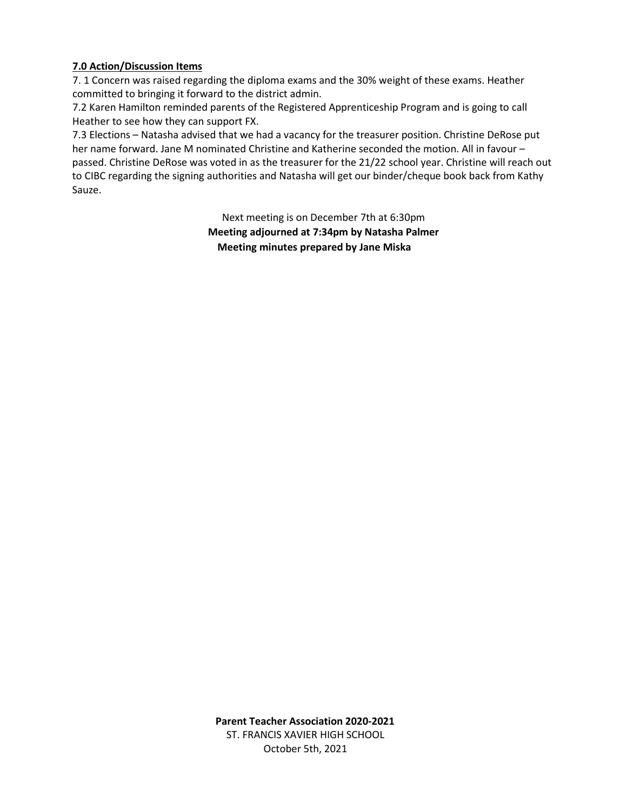# **7.0 Action/Discussion Items**

7. 1 Concern was raised regarding the diploma exams and the 30% weight of these exams. Heather committed to bringing it forward to the district admin.

7.2 Karen Hamilton reminded parents of the Registered Apprenticeship Program and is going to call Heather to see how they can support FX.

7.3 Elections – Natasha advised that we had a vacancy for the treasurer position. Christine DeRose put her name forward. Jane M nominated Christine and Katherine seconded the motion. All in favour – passed. Christine DeRose was voted in as the treasurer for the 21/22 school year. Christine will reach out to CIBC regarding the signing authorities and Natasha will get our binder/cheque book back from Kathy Sauze.

> Next meeting is on December 7th at 6:30pm **Meeting adjourned at 7:34pm by Natasha Palmer Meeting minutes prepared by Jane Miska**

**Parent Teacher Association 2020-2021**  ST. FRANCIS XAVIER HIGH SCHOOL October 5th, 2021